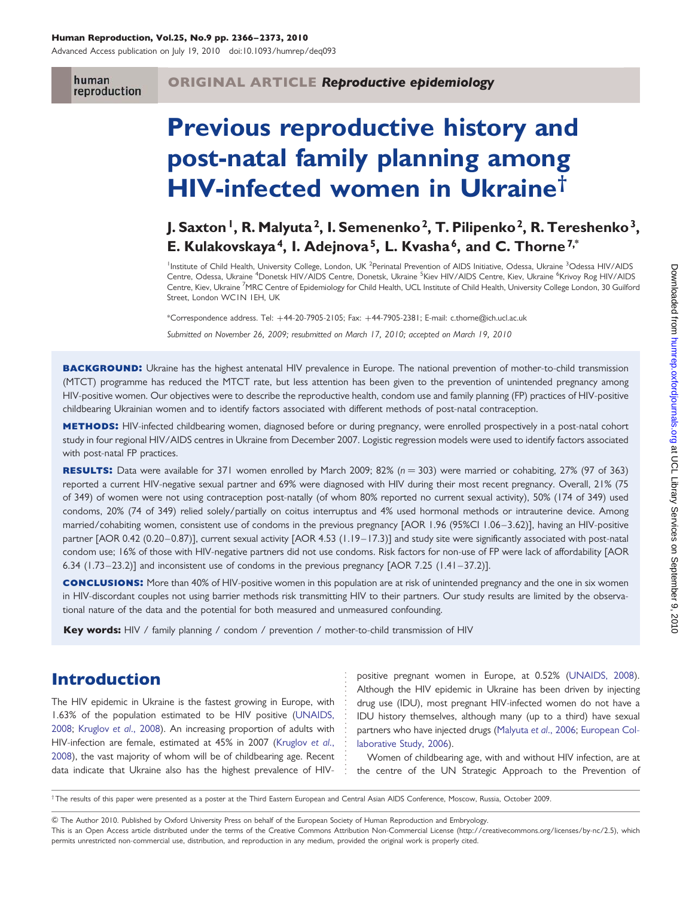#### Human Reproduction, Vol.25, No.9 pp. 2366–2373, 2010

Advanced Access publication on July 19, 2010 doi:10.1093/humrep/deq093

human reproduction

# Previous reproductive history and post-natal family planning among HIV-infected women in Ukraine†

# J. Saxton<sup>1</sup>, R. Malyuta<sup>2</sup>, I. Semenenko<sup>2</sup>, T. Pilipenko<sup>2</sup>, R. Tereshenko<sup>3</sup>, E. Kulakovskaya<sup>4</sup>, I. Adejnova<sup>5</sup>, L. Kvasha<sup>6</sup>, and C. Thorne<sup>7,\*</sup>

<sup>1</sup>Institute of Child Health, University College, London, UK <sup>2</sup>Perinatal Prevention of AIDS Initiative, Odessa, Ukraine <sup>3</sup>Odessa HIV/AIDS Centre, Odessa, Ukraine <sup>4</sup>Donetsk HIV/AIDS Centre, Donetsk, Ukraine <sup>5</sup>Kiev HIV/AIDS Centre, Kiev, Ukraine <sup>6</sup>Krivoy Rog HIV/AIDS Centre, Kiev, Ukraine <sup>7</sup>MRC Centre of Epidemiology for Child Health, UCL Institute of Child Health, University College London, 30 Guilford Street, London WC1N 1EH, UK

\*Correspondence address. Tel: +44-20-7905-2105; Fax: +44-7905-2381; E-mail: c.thorne@ich.ucl.ac.uk Submitted on November 26, 2009; resubmitted on March 17, 2010; accepted on March 19, 2010

**BACKGROUND:** Ukraine has the highest antenatal HIV prevalence in Europe. The national prevention of mother-to-child transmission (MTCT) programme has reduced the MTCT rate, but less attention has been given to the prevention of unintended pregnancy among HIV-positive women. Our objectives were to describe the reproductive health, condom use and family planning (FP) practices of HIV-positive childbearing Ukrainian women and to identify factors associated with different methods of post-natal contraception.

METHODS: HIV-infected childbearing women, diagnosed before or during pregnancy, were enrolled prospectively in a post-natal cohort study in four regional HIV/AIDS centres in Ukraine from December 2007. Logistic regression models were used to identify factors associated with post-natal FP practices.

**RESULTS:** Data were available for 371 women enrolled by March 2009; 82% ( $n = 303$ ) were married or cohabiting, 27% (97 of 363) reported a current HIV-negative sexual partner and 69% were diagnosed with HIV during their most recent pregnancy. Overall, 21% (75 of 349) of women were not using contraception post-natally (of whom 80% reported no current sexual activity), 50% (174 of 349) used condoms, 20% (74 of 349) relied solely/partially on coitus interruptus and 4% used hormonal methods or intrauterine device. Among married/cohabiting women, consistent use of condoms in the previous pregnancy [AOR 1.96 (95%CI 1.06 –3.62)], having an HIV-positive partner [AOR 0.42 (0.20-0.87)], current sexual activity [AOR 4.53 (1.19-17.3)] and study site were significantly associated with post-natal condom use; 16% of those with HIV-negative partners did not use condoms. Risk factors for non-use of FP were lack of affordability [AOR 6.34 (1.73–23.2)] and inconsistent use of condoms in the previous pregnancy [AOR 7.25 (1.41–37.2)].

conclusions: More than 40% of HIV-positive women in this population are at risk of unintended pregnancy and the one in six women in HIV-discordant couples not using barrier methods risk transmitting HIV to their partners. Our study results are limited by the observational nature of the data and the potential for both measured and unmeasured confounding.

**Key words:** HIV / family planning / condom / prevention / mother-to-child transmission of HIV

### Introduction

The HIV epidemic in Ukraine is the fastest growing in Europe, with 1.63% of the population estimated to be HIV positive ([UNAIDS,](#page-7-0) [2008](#page-7-0); [Kruglov](#page-6-0) et al., 2008). An increasing proportion of adults with HIV-infection are female, estimated at 45% in 2007 ([Kruglov](#page-6-0) et al., [2008](#page-6-0)), the vast majority of whom will be of childbearing age. Recent data indicate that Ukraine also has the highest prevalence of HIV- positive pregnant women in Europe, at 0.52% ([UNAIDS, 2008\)](#page-7-0). Although the HIV epidemic in Ukraine has been driven by injecting drug use (IDU), most pregnant HIV-infected women do not have a IDU history themselves, although many (up to a third) have sexual partners who have injected drugs [\(Malyuta](#page-6-0) et al., 2006; [European Col](#page-6-0)[laborative Study, 2006](#page-6-0)).

Women of childbearing age, with and without HIV infection, are at the centre of the UN Strategic Approach to the Prevention of

† The results of this paper were presented as a poster at the Third Eastern European and Central Asian AIDS Conference, Moscow, Russia, October 2009.

& The Author 2010. Published by Oxford University Press on behalf of the European Society of Human Reproduction and Embryology.

This is an Open Access article distributed under the terms of the Creative Commons Attribution Non-Commercial License (http://creativecommons.org/licenses/by-nc/2.5), which permits unrestricted non-commercial use, distribution, and reproduction in any medium, provided the original work is properly cited.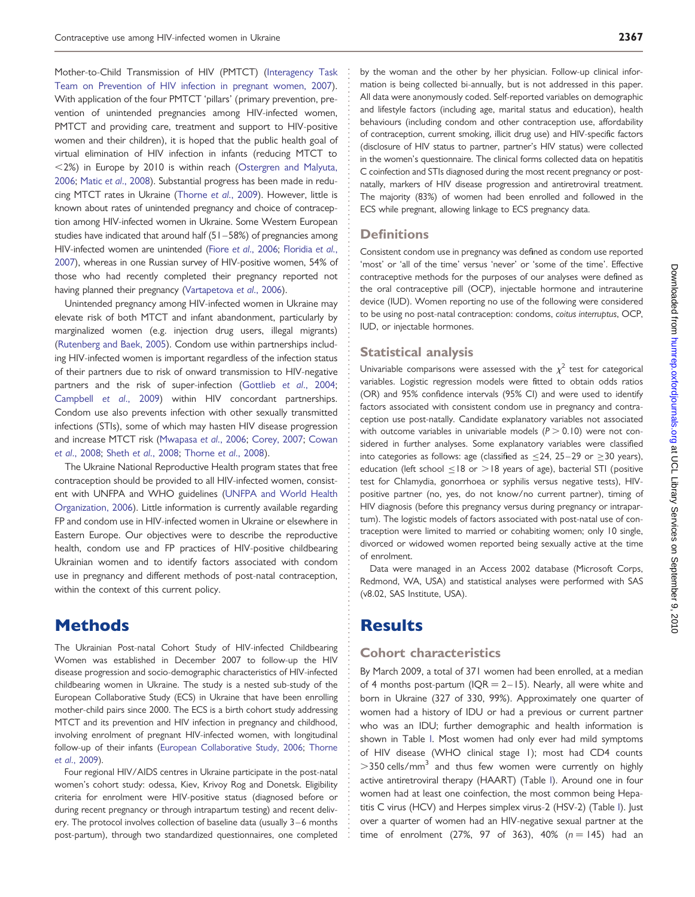Mother-to-Child Transmission of HIV (PMTCT) [\(Interagency Task](#page-6-0) [Team on Prevention of HIV infection in pregnant women, 2007\)](#page-6-0). With application of the four PMTCT 'pillars' (primary prevention, prevention of unintended pregnancies among HIV-infected women, PMTCT and providing care, treatment and support to HIV-positive women and their children), it is hoped that the public health goal of virtual elimination of HIV infection in infants (reducing MTCT to  $<$  2%) in Europe by 2010 is within reach [\(Ostergren and Malyuta,](#page-7-0) [2006](#page-7-0); Matic et al[., 2008](#page-6-0)). Substantial progress has been made in reducing MTCT rates in Ukraine [\(Thorne](#page-7-0) et al., 2009). However, little is known about rates of unintended pregnancy and choice of contraception among HIV-infected women in Ukraine. Some Western European studies have indicated that around half (51–58%) of pregnancies among HIV-infected women are unintended (Fiore et al[., 2006;](#page-6-0) [Floridia](#page-6-0) et al., [2007\)](#page-6-0), whereas in one Russian survey of HIV-positive women, 54% of those who had recently completed their pregnancy reported not having planned their pregnancy [\(Vartapetova](#page-7-0) et al., 2006).

Unintended pregnancy among HIV-infected women in Ukraine may elevate risk of both MTCT and infant abandonment, particularly by marginalized women (e.g. injection drug users, illegal migrants) [\(Rutenberg and Baek, 2005](#page-7-0)). Condom use within partnerships including HIV-infected women is important regardless of the infection status of their partners due to risk of onward transmission to HIV-negative partners and the risk of super-infection ([Gottlieb](#page-6-0) et al., 2004; [Campbell](#page-6-0) et al., 2009) within HIV concordant partnerships. Condom use also prevents infection with other sexually transmitted infections (STIs), some of which may hasten HIV disease progression and increase MTCT risk ([Mwapasa](#page-6-0) et al., 2006; [Corey, 2007](#page-6-0); [Cowan](#page-6-0) et al[., 2008;](#page-6-0) Sheth et al[., 2008;](#page-7-0) [Thorne](#page-7-0) et al., 2008).

The Ukraine National Reproductive Health program states that free contraception should be provided to all HIV-infected women, consistent with UNFPA and WHO guidelines ([UNFPA and World Health](#page-7-0) [Organization, 2006\)](#page-7-0). Little information is currently available regarding FP and condom use in HIV-infected women in Ukraine or elsewhere in Eastern Europe. Our objectives were to describe the reproductive health, condom use and FP practices of HIV-positive childbearing Ukrainian women and to identify factors associated with condom use in pregnancy and different methods of post-natal contraception, within the context of this current policy.

### Methods

The Ukrainian Post-natal Cohort Study of HIV-infected Childbearing Women was established in December 2007 to follow-up the HIV disease progression and socio-demographic characteristics of HIV-infected childbearing women in Ukraine. The study is a nested sub-study of the European Collaborative Study (ECS) in Ukraine that have been enrolling mother-child pairs since 2000. The ECS is a birth cohort study addressing MTCT and its prevention and HIV infection in pregnancy and childhood, involving enrolment of pregnant HIV-infected women, with longitudinal follow-up of their infants [\(European Collaborative Study, 2006;](#page-6-0) [Thorne](#page-7-0) et al[., 2009\)](#page-7-0).

Four regional HIV/AIDS centres in Ukraine participate in the post-natal women's cohort study: odessa, Kiev, Krivoy Rog and Donetsk. Eligibility criteria for enrolment were HIV-positive status (diagnosed before or during recent pregnancy or through intrapartum testing) and recent delivery. The protocol involves collection of baseline data (usually 3-6 months post-partum), through two standardized questionnaires, one completed

by the woman and the other by her physician. Follow-up clinical information is being collected bi-annually, but is not addressed in this paper. All data were anonymously coded. Self-reported variables on demographic and lifestyle factors (including age, marital status and education), health behaviours (including condom and other contraception use, affordability of contraception, current smoking, illicit drug use) and HIV-specific factors (disclosure of HIV status to partner, partner's HIV status) were collected in the women's questionnaire. The clinical forms collected data on hepatitis C coinfection and STIs diagnosed during the most recent pregnancy or postnatally, markers of HIV disease progression and antiretroviral treatment. The majority (83%) of women had been enrolled and followed in the ECS while pregnant, allowing linkage to ECS pregnancy data.

#### **Definitions**

Consistent condom use in pregnancy was defined as condom use reported 'most' or 'all of the time' versus 'never' or 'some of the time'. Effective contraceptive methods for the purposes of our analyses were defined as the oral contraceptive pill (OCP), injectable hormone and intrauterine device (IUD). Women reporting no use of the following were considered to be using no post-natal contraception: condoms, coitus interruptus, OCP, IUD, or injectable hormones.

#### Statistical analysis

Univariable comparisons were assessed with the  $\chi^2$  test for categorical variables. Logistic regression models were fitted to obtain odds ratios (OR) and 95% confidence intervals (95% CI) and were used to identify factors associated with consistent condom use in pregnancy and contraception use post-natally. Candidate explanatory variables not associated with outcome variables in univariable models  $(P > 0.10)$  were not considered in further analyses. Some explanatory variables were classified into categories as follows: age (classified as  $\leq$ 24, 25-29 or  $\geq$ 30 years), education (left school  $\leq$  18 or  $>$  18 years of age), bacterial STI (positive test for Chlamydia, gonorrhoea or syphilis versus negative tests), HIVpositive partner (no, yes, do not know/no current partner), timing of HIV diagnosis (before this pregnancy versus during pregnancy or intrapartum). The logistic models of factors associated with post-natal use of contraception were limited to married or cohabiting women; only 10 single, divorced or widowed women reported being sexually active at the time of enrolment.

Data were managed in an Access 2002 database (Microsoft Corps, Redmond, WA, USA) and statistical analyses were performed with SAS (v8.02, SAS Institute, USA).

### **Results**

#### Cohort characteristics

By March 2009, a total of 371 women had been enrolled, at a median of 4 months post-partum (IQR  $= 2 - 15$ ). Nearly, all were white and born in Ukraine (327 of 330, 99%). Approximately one quarter of women had a history of IDU or had a previous or current partner who was an IDU; further demographic and health information is shown in Table [I.](#page-2-0) Most women had only ever had mild symptoms of HIV disease (WHO clinical stage 1); most had CD4 counts  $>$ 350 cells/mm<sup>3</sup> and thus few women were currently on highly active antiretroviral therapy (HAART) (Table [I\)](#page-2-0). Around one in four women had at least one coinfection, the most common being Hepatitis C virus (HCV) and Herpes simplex virus-2 (HSV-2) (Table [I\)](#page-2-0). Just over a quarter of women had an HIV-negative sexual partner at the time of enrolment  $(27\%, 97 \text{ of } 363)$ ,  $40\%$   $(n = 145)$  had an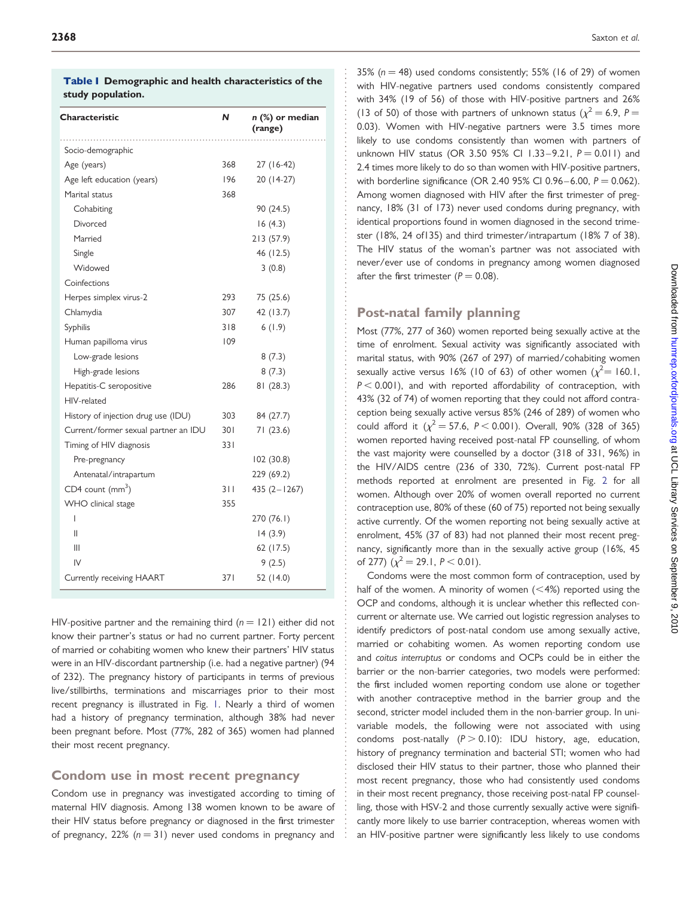| Characteristic                       | N     | n (%) or median<br>(range) |
|--------------------------------------|-------|----------------------------|
| Socio-demographic                    |       |                            |
| Age (years)                          | 368   | 27 (16-42)                 |
| Age left education (years)           | 196   | $20(14-27)$                |
| Marital status                       | 368   |                            |
| Cohabiting                           |       | 90 (24.5)                  |
| Divorced                             |       | 16(4.3)                    |
| Married                              |       | 213 (57.9)                 |
| Single                               |       | 46 (12.5)                  |
| Widowed                              |       | 3(0.8)                     |
| Coinfections                         |       |                            |
| Herpes simplex virus-2               | 293   | 75 (25.6)                  |
| Chlamydia                            | 307   | 42 (13.7)                  |
| Syphilis                             | 318   | 6(1.9)                     |
| Human papilloma virus                | 109   |                            |
| Low-grade lesions                    |       | 8(7.3)                     |
| High-grade lesions                   |       | 8(7.3)                     |
| Hepatitis-C seropositive             | 286   | 81(28.3)                   |
| HIV-related                          |       |                            |
| History of injection drug use (IDU)  | 303   | 84 (27.7)                  |
| Current/former sexual partner an IDU | 301   | 71(23.6)                   |
| Timing of HIV diagnosis              | 331   |                            |
| Pre-pregnancy                        |       | 102(30.8)                  |
| Antenatal/intrapartum                |       | 229 (69.2)                 |
| $CD4$ count $(mm^3)$                 | 3 I I | $435(2 - 1267)$            |
| WHO clinical stage                   | 355   |                            |
| I                                    |       | 270(76.1)                  |
| Ш                                    |       | 14(3.9)                    |
| Ш                                    |       | 62 (17.5)                  |
| IV                                   |       | 9(2.5)                     |
| Currently receiving HAART            | 371   | 52 (14.0)                  |
|                                      |       |                            |

<span id="page-2-0"></span>Table I Demographic and health characteristics of the study population.

HIV-positive partner and the remaining third ( $n = 121$ ) either did not know their partner's status or had no current partner. Forty percent of married or cohabiting women who knew their partners' HIV status were in an HIV-discordant partnership (i.e. had a negative partner) (94 of 232). The pregnancy history of participants in terms of previous live/stillbirths, terminations and miscarriages prior to their most recent pregnancy is illustrated in Fig. [1](#page-3-0). Nearly a third of women had a history of pregnancy termination, although 38% had never been pregnant before. Most (77%, 282 of 365) women had planned their most recent pregnancy.

#### Condom use in most recent pregnancy

Condom use in pregnancy was investigated according to timing of maternal HIV diagnosis. Among 138 women known to be aware of their HIV status before pregnancy or diagnosed in the first trimester of pregnancy, 22% ( $n = 31$ ) never used condoms in pregnancy and

35% ( $n = 48$ ) used condoms consistently; 55% (16 of 29) of women with HIV-negative partners used condoms consistently compared with 34% (19 of 56) of those with HIV-positive partners and 26% (13 of 50) of those with partners of unknown status ( $\chi^2 = 6.9$ , P = 0.03). Women with HIV-negative partners were 3.5 times more likely to use condoms consistently than women with partners of unknown HIV status (OR 3.50 95% CI 1.33-9.21,  $P = 0.011$ ) and 2.4 times more likely to do so than women with HIV-positive partners, with borderline significance (OR 2.40 95% CI 0.96 – 6.00,  $P = 0.062$ ). Among women diagnosed with HIV after the first trimester of pregnancy, 18% (31 of 173) never used condoms during pregnancy, with identical proportions found in women diagnosed in the second trimester (18%, 24 of135) and third trimester/intrapartum (18% 7 of 38). The HIV status of the woman's partner was not associated with never/ever use of condoms in pregnancy among women diagnosed after the first trimester ( $P = 0.08$ ).

#### Post-natal family planning

Most (77%, 277 of 360) women reported being sexually active at the time of enrolment. Sexual activity was significantly associated with marital status, with 90% (267 of 297) of married/cohabiting women sexually active versus 16% (10 of 63) of other women  $(\chi^2=160.1,$  $P < 0.001$ ), and with reported affordability of contraception, with 43% (32 of 74) of women reporting that they could not afford contraception being sexually active versus 85% (246 of 289) of women who could afford it ( $\chi^2$  = 57.6, P < 0.001). Overall, 90% (328 of 365) women reported having received post-natal FP counselling, of whom the vast majority were counselled by a doctor (318 of 331, 96%) in the HIV/AIDS centre (236 of 330, 72%). Current post-natal FP methods reported at enrolment are presented in Fig. [2](#page-3-0) for all women. Although over 20% of women overall reported no current contraception use, 80% of these (60 of 75) reported not being sexually active currently. Of the women reporting not being sexually active at enrolment, 45% (37 of 83) had not planned their most recent pregnancy, significantly more than in the sexually active group (16%, 45 of 277) ( $\chi^2$  = 29.1, P < 0.01).

Condoms were the most common form of contraception, used by half of the women. A minority of women  $(< 4\%)$  reported using the OCP and condoms, although it is unclear whether this reflected concurrent or alternate use. We carried out logistic regression analyses to identify predictors of post-natal condom use among sexually active, married or cohabiting women. As women reporting condom use and coitus interruptus or condoms and OCPs could be in either the barrier or the non-barrier categories, two models were performed: the first included women reporting condom use alone or together with another contraceptive method in the barrier group and the second, stricter model included them in the non-barrier group. In univariable models, the following were not associated with using condoms post-natally  $(P > 0.10)$ : IDU history, age, education, history of pregnancy termination and bacterial STI; women who had disclosed their HIV status to their partner, those who planned their most recent pregnancy, those who had consistently used condoms in their most recent pregnancy, those receiving post-natal FP counselling, those with HSV-2 and those currently sexually active were significantly more likely to use barrier contraception, whereas women with an HIV-positive partner were significantly less likely to use condoms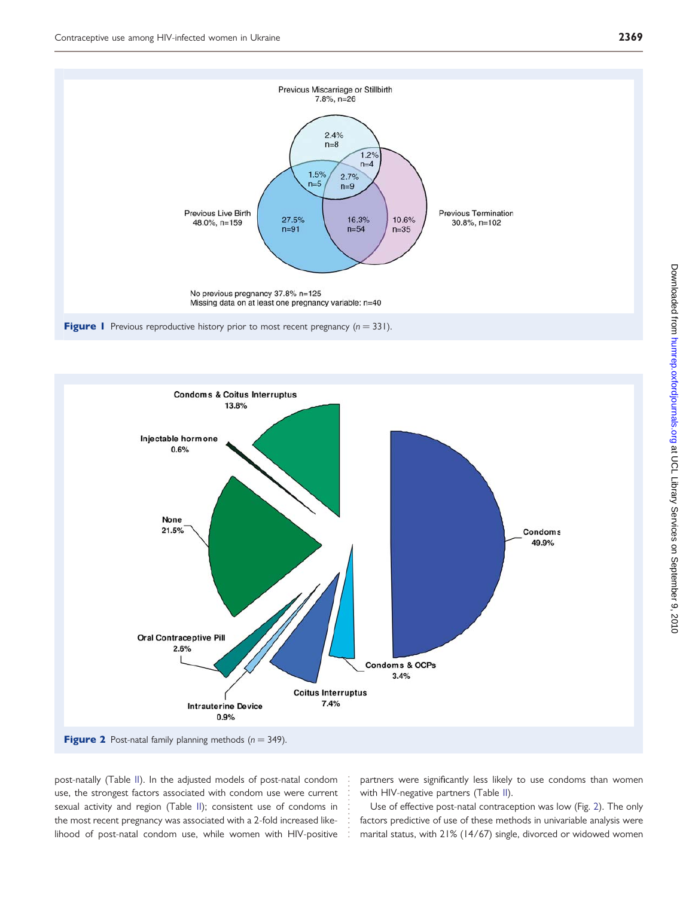<span id="page-3-0"></span>



post-natally (Table [II](#page-4-0)). In the adjusted models of post-natal condom use, the strongest factors associated with condom use were current sexual activity and region (Table [II\)](#page-4-0); consistent use of condoms in the most recent pregnancy was associated with a 2-fold increased likelihood of post-natal condom use, while women with HIV-positive

partners were significantly less likely to use condoms than women with HIV-negative partners (Table [II](#page-4-0)).

Use of effective post-natal contraception was low (Fig. 2). The only factors predictive of use of these methods in univariable analysis were marital status, with 21% (14/67) single, divorced or widowed women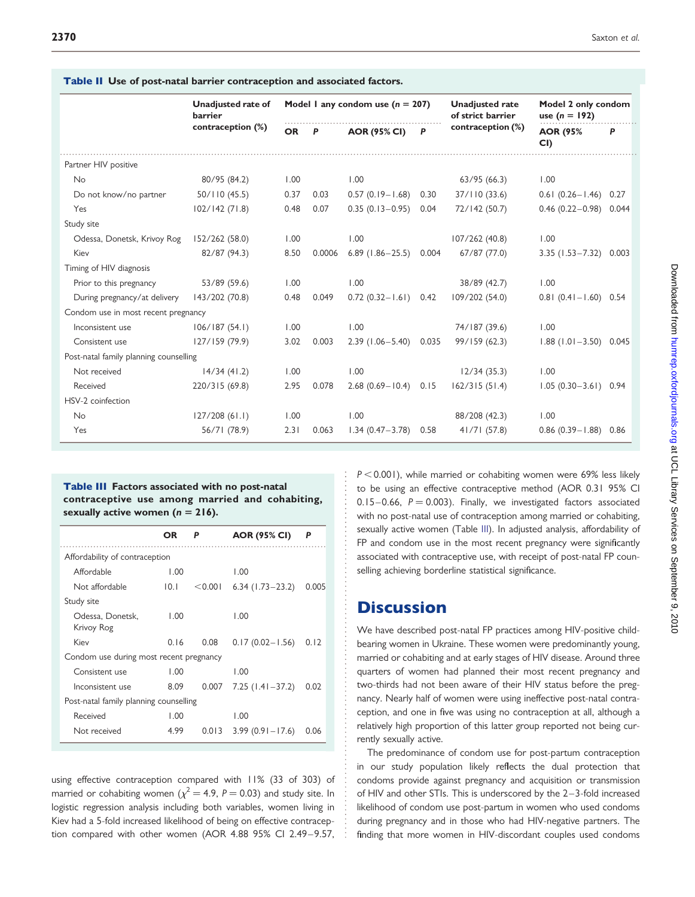|                                        | Unadjusted rate of<br>barrier | Model I any condom use $(n = 207)$ |        |                          | <b>Unadjusted rate</b><br>of strict barrier | Model 2 only condom<br>use $(n = 192)$ |                            |      |
|----------------------------------------|-------------------------------|------------------------------------|--------|--------------------------|---------------------------------------------|----------------------------------------|----------------------------|------|
|                                        | contraception (%)             | <b>OR</b>                          | P      | <b>AOR (95% CI)</b>      | P                                           | contraception (%)                      | <b>AOR (95%</b><br>CI      | P    |
| Partner HIV positive                   |                               |                                    |        |                          |                                             |                                        |                            |      |
| <b>No</b>                              | 80/95 (84.2)                  | 1.00                               |        | 1.00                     |                                             | 63/95(66.3)                            | 1.00                       |      |
| Do not know/no partner                 | 50/110(45.5)                  | 0.37                               | 0.03   | $0.57(0.19 - 1.68)$      | 0.30                                        | 37/110(33.6)                           | $0.61(0.26 - 1.46)0.27$    |      |
| Yes                                    | 102/142(71.8)                 | 0.48                               | 0.07   | $0.35(0.13 - 0.95)$      | 0.04                                        | 72/142 (50.7)                          | $0.46(0.22 - 0.98)$ 0.044  |      |
| Study site                             |                               |                                    |        |                          |                                             |                                        |                            |      |
| Odessa, Donetsk, Krivoy Rog            | 152/262 (58.0)                | 1.00                               |        | 1.00                     |                                             | 107/262 (40.8)                         | 1.00                       |      |
| Kiev                                   | 82/87 (94.3)                  | 8.50                               | 0.0006 | $6.89$ (1.86 - 25.5)     | 0.004                                       | 67/87 (77.0)                           | $3.35$ (1.53-7.32) 0.003   |      |
| Timing of HIV diagnosis                |                               |                                    |        |                          |                                             |                                        |                            |      |
| Prior to this pregnancy                | 53/89 (59.6)                  | 1.00                               |        | 1.00                     |                                             | 38/89 (42.7)                           | 1.00                       |      |
| During pregnancy/at delivery           | 143/202 (70.8)                | 0.48                               | 0.049  | $0.72(0.32 - 1.61)$      | 0.42                                        | 109/202 (54.0)                         | $0.81(0.41 - 1.60)$ 0.54   |      |
| Condom use in most recent pregnancy    |                               |                                    |        |                          |                                             |                                        |                            |      |
| Inconsistent use                       | 106/187(54.1)                 | 1.00                               |        | 1.00                     |                                             | 74/187 (39.6)                          | 1.00                       |      |
| Consistent use                         | 127/159(79.9)                 | 3.02                               | 0.003  | $2.39(1.06 - 5.40)$      | 0.035                                       | 99/159(62.3)                           | $1.88$ (1.01 - 3.50) 0.045 |      |
| Post-natal family planning counselling |                               |                                    |        |                          |                                             |                                        |                            |      |
| Not received                           | 14/34(41.2)                   | 1.00                               |        | 1.00                     |                                             | 12/34(35.3)                            | 1.00                       |      |
| Received                               | 220/315 (69.8)                | 2.95                               | 0.078  | $2.68(0.69 - 10.4)$ 0.15 |                                             | 162/315(51.4)                          | $1.05(0.30-3.61)$ 0.94     |      |
| HSV-2 coinfection                      |                               |                                    |        |                          |                                             |                                        |                            |      |
| <b>No</b>                              | 127/208(61.1)                 | 1.00                               |        | 1.00                     |                                             | 88/208 (42.3)                          | 1.00                       |      |
| Yes                                    | 56/71 (78.9)                  | 2.31                               | 0.063  | $1.34(0.47 - 3.78)$      | 0.58                                        | 41/71(57.8)                            | $0.86(0.39 - 1.88)$        | 0.86 |

<span id="page-4-0"></span>Table II Use of post-natal barrier contraception and associated factors.

Table III Factors associated with no post-natal contraceptive use among married and cohabiting, sexually active women  $(n = 216)$ .

|                                         | OR   | P       | <b>AOR (95% CI)</b>    | P     |  |  |  |  |  |
|-----------------------------------------|------|---------|------------------------|-------|--|--|--|--|--|
| Affordability of contraception          |      |         |                        |       |  |  |  |  |  |
| Affordable                              | 1.00 |         | 1.00                   |       |  |  |  |  |  |
| Not affordable                          | 10.1 | < 0.001 | $6.34$ $(1.73 - 23.2)$ | 0.005 |  |  |  |  |  |
| Study site                              |      |         |                        |       |  |  |  |  |  |
| Odessa, Donetsk,<br>Krivoy Rog          | 1.00 |         | 1.00                   |       |  |  |  |  |  |
| Kiev                                    | 0.16 | 0.08    | $0.17(0.02 - 1.56)$    | 0.12  |  |  |  |  |  |
| Condom use during most recent pregnancy |      |         |                        |       |  |  |  |  |  |
| Consistent use                          | 1.00 |         | 1.00                   |       |  |  |  |  |  |
| Inconsistent use                        | 8.09 | 0.007   | $7.25$ (1.41 - 37.2)   | 0.02  |  |  |  |  |  |
| Post-natal family planning counselling  |      |         |                        |       |  |  |  |  |  |
| Received                                | 1.00 |         | 1.00                   |       |  |  |  |  |  |
| Not received                            | 4.99 | 0.013   | $3.99(0.91 - 17.6)$    | 0.06  |  |  |  |  |  |

using effective contraception compared with 11% (33 of 303) of married or cohabiting women ( $\chi^2$  = 4.9, P = 0.03) and study site. In logistic regression analysis including both variables, women living in Kiev had a 5-fold increased likelihood of being on effective contraception compared with other women (AOR 4.88 95% CI 2.49-9.57,

 $P < 0.001$ ), while married or cohabiting women were 69% less likely to be using an effective contraceptive method (AOR 0.31 95% CI  $0.15 - 0.66$ ,  $P = 0.003$ ). Finally, we investigated factors associated with no post-natal use of contraception among married or cohabiting, sexually active women (Table III). In adjusted analysis, affordability of FP and condom use in the most recent pregnancy were significantly associated with contraceptive use, with receipt of post-natal FP counselling achieving borderline statistical significance.

### **Discussion**

We have described post-natal FP practices among HIV-positive childbearing women in Ukraine. These women were predominantly young, married or cohabiting and at early stages of HIV disease. Around three quarters of women had planned their most recent pregnancy and two-thirds had not been aware of their HIV status before the pregnancy. Nearly half of women were using ineffective post-natal contraception, and one in five was using no contraception at all, although a relatively high proportion of this latter group reported not being currently sexually active.

The predominance of condom use for post-partum contraception in our study population likely reflects the dual protection that condoms provide against pregnancy and acquisition or transmission of HIV and other STIs. This is underscored by the 2-3-fold increased likelihood of condom use post-partum in women who used condoms during pregnancy and in those who had HIV-negative partners. The finding that more women in HIV-discordant couples used condoms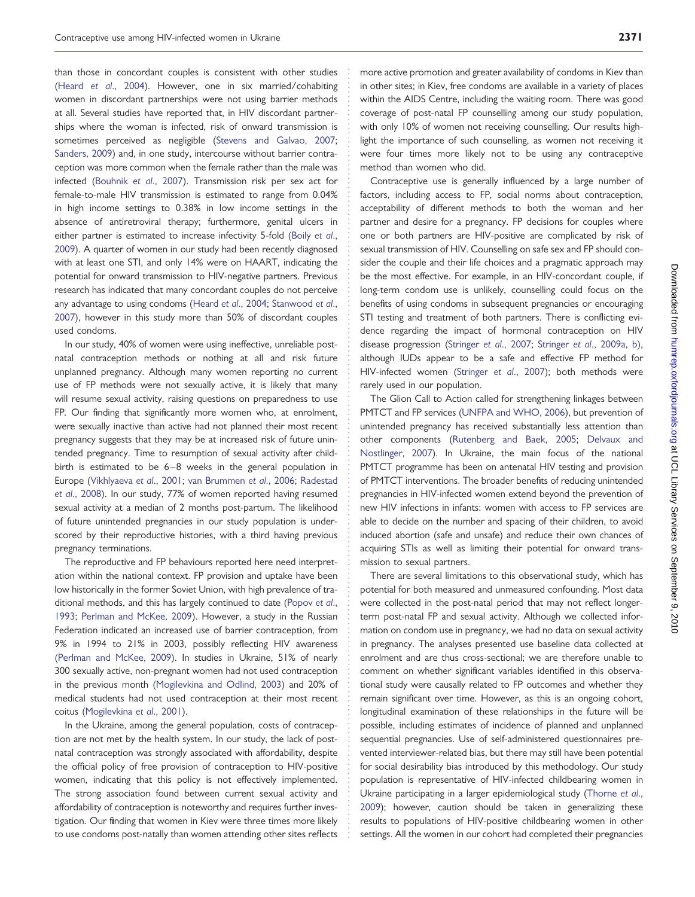than those in concordant couples is consistent with other studies (Heard et al[., 2004](#page-6-0)). However, one in six married/cohabiting women in discordant partnerships were not using barrier methods at all. Several studies have reported that, in HIV discordant partnerships where the woman is infected, risk of onward transmission is sometimes perceived as negligible ([Stevens and Galvao, 2007](#page-7-0); [Sanders, 2009\)](#page-7-0) and, in one study, intercourse without barrier contraception was more common when the female rather than the male was infected ([Bouhnik](#page-6-0) et al., 2007). Transmission risk per sex act for female-to-male HIV transmission is estimated to range from 0.04% in high income settings to 0.38% in low income settings in the absence of antiretroviral therapy; furthermore, genital ulcers in either partner is estimated to increase infectivity 5-fold ([Boily](#page-6-0) et al., [2009](#page-6-0)). A quarter of women in our study had been recently diagnosed with at least one STI, and only 14% were on HAART, indicating the potential for onward transmission to HIV-negative partners. Previous research has indicated that many concordant couples do not perceive any advantage to using condoms (Heard et al[., 2004](#page-6-0); [Stanwood](#page-7-0) et al., [2007](#page-7-0)), however in this study more than 50% of discordant couples used condoms.

In our study, 40% of women were using ineffective, unreliable postnatal contraception methods or nothing at all and risk future unplanned pregnancy. Although many women reporting no current use of FP methods were not sexually active, it is likely that many will resume sexual activity, raising questions on preparedness to use FP. Our finding that significantly more women who, at enrolment, were sexually inactive than active had not planned their most recent pregnancy suggests that they may be at increased risk of future unintended pregnancy. Time to resumption of sexual activity after childbirth is estimated to be 6–8 weeks in the general population in Europe ([Vikhlyaeva](#page-7-0) et al., 2001; [van Brummen](#page-7-0) et al., 2006; [Radestad](#page-7-0) et al[., 2008](#page-7-0)). In our study, 77% of women reported having resumed sexual activity at a median of 2 months post-partum. The likelihood of future unintended pregnancies in our study population is underscored by their reproductive histories, with a third having previous pregnancy terminations.

The reproductive and FP behaviours reported here need interpretation within the national context. FP provision and uptake have been low historically in the former Soviet Union, with high prevalence of traditional methods, and this has largely continued to date [\(Popov](#page-7-0) et al., [1993](#page-7-0); [Perlman and McKee, 2009](#page-7-0)). However, a study in the Russian Federation indicated an increased use of barrier contraception, from 9% in 1994 to 21% in 2003, possibly reflecting HIV awareness [\(Perlman and McKee, 2009](#page-7-0)). In studies in Ukraine, 51% of nearly 300 sexually active, non-pregnant women had not used contraception in the previous month ([Mogilevkina and Odlind, 2003](#page-6-0)) and 20% of medical students had not used contraception at their most recent coitus [\(Mogilevkina](#page-6-0) et al., 2001).

In the Ukraine, among the general population, costs of contraception are not met by the health system. In our study, the lack of postnatal contraception was strongly associated with affordability, despite the official policy of free provision of contraception to HIV-positive women, indicating that this policy is not effectively implemented. The strong association found between current sexual activity and affordability of contraception is noteworthy and requires further investigation. Our finding that women in Kiev were three times more likely to use condoms post-natally than women attending other sites reflects

more active promotion and greater availability of condoms in Kiev than in other sites; in Kiev, free condoms are available in a variety of places within the AIDS Centre, including the waiting room. There was good coverage of post-natal FP counselling among our study population, with only 10% of women not receiving counselling. Our results highlight the importance of such counselling, as women not receiving it were four times more likely not to be using any contraceptive method than women who did.

Contraceptive use is generally influenced by a large number of factors, including access to FP, social norms about contraception, acceptability of different methods to both the woman and her partner and desire for a pregnancy. FP decisions for couples where one or both partners are HIV-positive are complicated by risk of sexual transmission of HIV. Counselling on safe sex and FP should consider the couple and their life choices and a pragmatic approach may be the most effective. For example, in an HIV-concordant couple, if long-term condom use is unlikely, counselling could focus on the benefits of using condoms in subsequent pregnancies or encouraging STI testing and treatment of both partners. There is conflicting evidence regarding the impact of hormonal contraception on HIV disease progression [\(Stringer](#page-7-0) et al., 2007; Stringer et al[., 2009a](#page-7-0), [b\)](#page-7-0), although IUDs appear to be a safe and effective FP method for HIV-infected women ([Stringer](#page-7-0) et al., 2007); both methods were rarely used in our population.

The Glion Call to Action called for strengthening linkages between PMTCT and FP services [\(UNFPA and WHO, 2006\)](#page-7-0), but prevention of unintended pregnancy has received substantially less attention than other components ([Rutenberg and Baek, 2005](#page-7-0); [Delvaux and](#page-6-0) [Nostlinger, 2007](#page-6-0)). In Ukraine, the main focus of the national PMTCT programme has been on antenatal HIV testing and provision of PMTCT interventions. The broader benefits of reducing unintended pregnancies in HIV-infected women extend beyond the prevention of new HIV infections in infants: women with access to FP services are able to decide on the number and spacing of their children, to avoid induced abortion (safe and unsafe) and reduce their own chances of acquiring STIs as well as limiting their potential for onward transmission to sexual partners.

There are several limitations to this observational study, which has potential for both measured and unmeasured confounding. Most data were collected in the post-natal period that may not reflect longerterm post-natal FP and sexual activity. Although we collected information on condom use in pregnancy, we had no data on sexual activity in pregnancy. The analyses presented use baseline data collected at enrolment and are thus cross-sectional; we are therefore unable to comment on whether significant variables identified in this observational study were causally related to FP outcomes and whether they remain significant over time. However, as this is an ongoing cohort, longitudinal examination of these relationships in the future will be possible, including estimates of incidence of planned and unplanned sequential pregnancies. Use of self-administered questionnaires prevented interviewer-related bias, but there may still have been potential for social desirability bias introduced by this methodology. Our study population is representative of HIV-infected childbearing women in Ukraine participating in a larger epidemiological study [\(Thorne](#page-7-0) et al., [2009](#page-7-0)); however, caution should be taken in generalizing these results to populations of HIV-positive childbearing women in other settings. All the women in our cohort had completed their pregnancies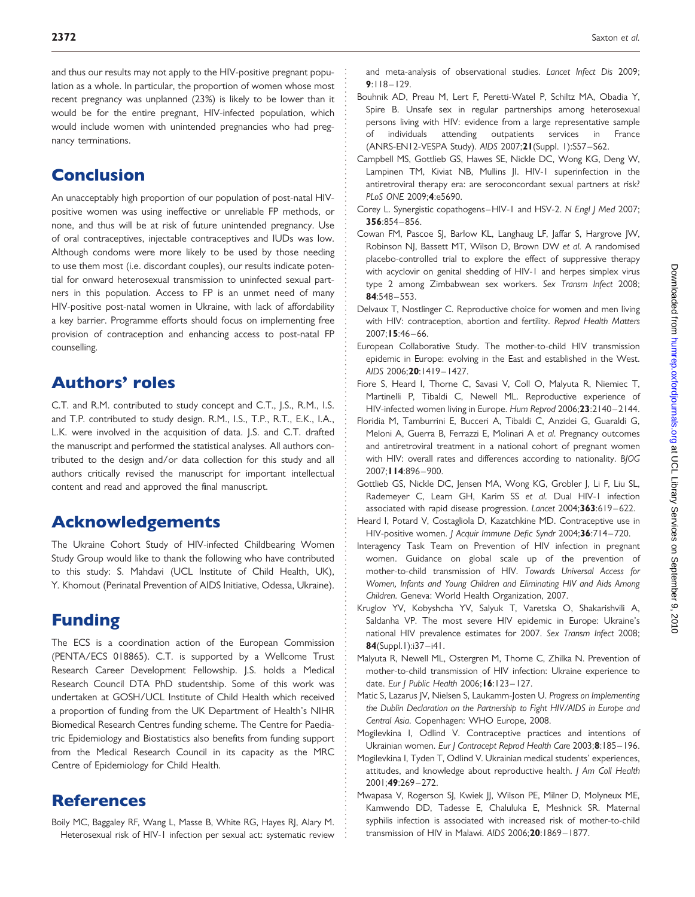<span id="page-6-0"></span>and thus our results may not apply to the HIV-positive pregnant population as a whole. In particular, the proportion of women whose most recent pregnancy was unplanned (23%) is likely to be lower than it would be for the entire pregnant, HIV-infected population, which would include women with unintended pregnancies who had pregnancy terminations.

# Conclusion

An unacceptably high proportion of our population of post-natal HIVpositive women was using ineffective or unreliable FP methods, or none, and thus will be at risk of future unintended pregnancy. Use of oral contraceptives, injectable contraceptives and IUDs was low. Although condoms were more likely to be used by those needing to use them most (i.e. discordant couples), our results indicate potential for onward heterosexual transmission to uninfected sexual partners in this population. Access to FP is an unmet need of many HIV-positive post-natal women in Ukraine, with lack of affordability a key barrier. Programme efforts should focus on implementing free provision of contraception and enhancing access to post-natal FP counselling.

# Authors' roles

C.T. and R.M. contributed to study concept and C.T., J.S., R.M., I.S. and T.P. contributed to study design. R.M., I.S., T.P., R.T., E.K., I.A., L.K. were involved in the acquisition of data. J.S. and C.T. drafted the manuscript and performed the statistical analyses. All authors contributed to the design and/or data collection for this study and all authors critically revised the manuscript for important intellectual content and read and approved the final manuscript.

# Acknowledgements

The Ukraine Cohort Study of HIV-infected Childbearing Women Study Group would like to thank the following who have contributed to this study: S. Mahdavi (UCL Institute of Child Health, UK), Y. Khomout (Perinatal Prevention of AIDS Initiative, Odessa, Ukraine).

# Funding

The ECS is a coordination action of the European Commission (PENTA/ECS 018865). C.T. is supported by a Wellcome Trust Research Career Development Fellowship. J.S. holds a Medical Research Council DTA PhD studentship. Some of this work was undertaken at GOSH/UCL Institute of Child Health which received a proportion of funding from the UK Department of Health's NIHR Biomedical Research Centres funding scheme. The Centre for Paediatric Epidemiology and Biostatistics also benefits from funding support from the Medical Research Council in its capacity as the MRC Centre of Epidemiology for Child Health.

### References

Boily MC, Baggaley RF, Wang L, Masse B, White RG, Hayes RJ, Alary M. Heterosexual risk of HIV-1 infection per sexual act: systematic review and meta-analysis of observational studies. Lancet Infect Dis 2009;  $9:118 - 129.$ 

- Bouhnik AD, Preau M, Lert F, Peretti-Watel P, Schiltz MA, Obadia Y, Spire B. Unsafe sex in regular partnerships among heterosexual persons living with HIV: evidence from a large representative sample of individuals attending outpatients services in France (ANRS-EN12-VESPA Study). AIDS 2007;21(Suppl. 1):S57 –S62.
- Campbell MS, Gottlieb GS, Hawes SE, Nickle DC, Wong KG, Deng W, Lampinen TM, Kiviat NB, Mullins JI. HIV-1 superinfection in the antiretroviral therapy era: are seroconcordant sexual partners at risk? PLoS ONE 2009;4:e5690.
- Corey L. Synergistic copathogens–HIV-1 and HSV-2. N Engl J Med 2007; 356:854– 856.
- Cowan FM, Pascoe SJ, Barlow KL, Langhaug LF, Jaffar S, Hargrove JW, Robinson NJ, Bassett MT, Wilson D, Brown DW et al. A randomised placebo-controlled trial to explore the effect of suppressive therapy with acyclovir on genital shedding of HIV-1 and herpes simplex virus type 2 among Zimbabwean sex workers. Sex Transm Infect 2008; 84:548 – 553.
- Delvaux T, Nostlinger C. Reproductive choice for women and men living with HIV: contraception, abortion and fertility. Reprod Health Matters 2007;15:46 – 66.
- European Collaborative Study. The mother-to-child HIV transmission epidemic in Europe: evolving in the East and established in the West. AIDS 2006;20:1419-1427.
- Fiore S, Heard I, Thorne C, Savasi V, Coll O, Malyuta R, Niemiec T, Martinelli P, Tibaldi C, Newell ML. Reproductive experience of HIV-infected women living in Europe. Hum Reprod 2006;23:2140-2144.
- Floridia M, Tamburrini E, Bucceri A, Tibaldi C, Anzidei G, Guaraldi G, Meloni A, Guerra B, Ferrazzi E, Molinari A et al. Pregnancy outcomes and antiretroviral treatment in a national cohort of pregnant women with HIV: overall rates and differences according to nationality. BJOG 2007;114:896 – 900.
- Gottlieb GS, Nickle DC, Jensen MA, Wong KG, Grobler J, Li F, Liu SL, Rademeyer C, Learn GH, Karim SS et al. Dual HIV-1 infection associated with rapid disease progression. Lancet 2004;363:619 – 622.
- Heard I, Potard V, Costagliola D, Kazatchkine MD. Contraceptive use in HIV-positive women. J Acquir Immune Defic Syndr 2004;36:714-720.
- Interagency Task Team on Prevention of HIV infection in pregnant women. Guidance on global scale up of the prevention of mother-to-child transmission of HIV. Towards Universal Access for Women, Infants and Young Children and Eliminating HIV and Aids Among Children. Geneva: World Health Organization, 2007.
- Kruglov YV, Kobyshcha YV, Salyuk T, Varetska O, Shakarishvili A, Saldanha VP. The most severe HIV epidemic in Europe: Ukraine's national HIV prevalence estimates for 2007. Sex Transm Infect 2008; 84(Suppl.1):i37 – i41.
- Malyuta R, Newell ML, Ostergren M, Thorne C, Zhilka N. Prevention of mother-to-child transmission of HIV infection: Ukraine experience to date. Eur | Public Health 2006; 16:123-127.
- Matic S, Lazarus JV, Nielsen S, Laukamm-Josten U. Progress on Implementing the Dublin Declaration on the Partnership to Fight HIV/AIDS in Europe and Central Asia. Copenhagen: WHO Europe, 2008.
- Mogilevkina I, Odlind V. Contraceptive practices and intentions of Ukrainian women. Eur J Contracept Reprod Health Care 2003;8:185-196.
- Mogilevkina I, Tyden T, Odlind V. Ukrainian medical students' experiences, attitudes, and knowledge about reproductive health. J Am Coll Health 2001;49:269 – 272.
- Mwapasa V, Rogerson SJ, Kwiek JJ, Wilson PE, Milner D, Molyneux ME, Kamwendo DD, Tadesse E, Chaluluka E, Meshnick SR. Maternal syphilis infection is associated with increased risk of mother-to-child transmission of HIV in Malawi. AIDS 2006;20:1869-1877.